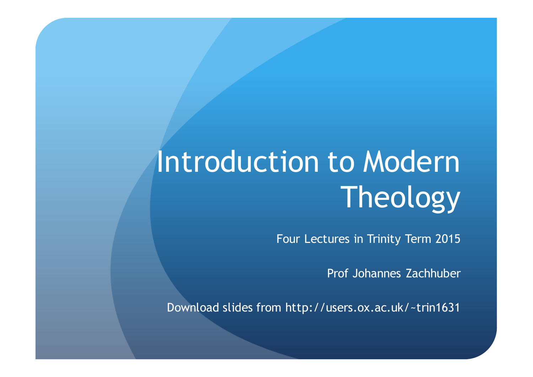# Introduction to Modern Theology

Four Lectures in Trinity Term 2015

Prof Johannes Zachhuber

Download slides from http://users.ox.ac.uk/~trin1631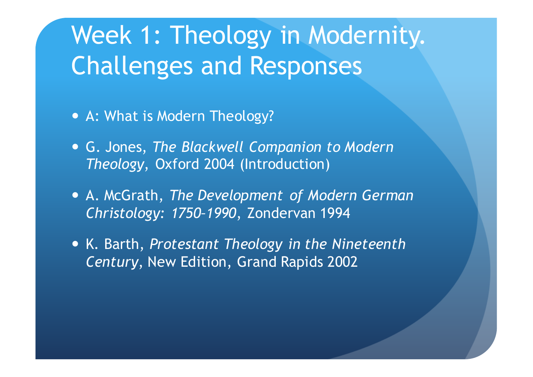# Week 1: Theology in Modernity. Challenges and Responses

- A: What is Modern Theology?
- G. Jones, *The Blackwell Companion to Modern Theology*, Oxford 2004 (Introduction)
- A. McGrath, *The Development of Modern German Christology: 1750–1990*, Zondervan 1994
- K. Barth, *Protestant Theology in the Nineteenth Century*, New Edition, Grand Rapids 2002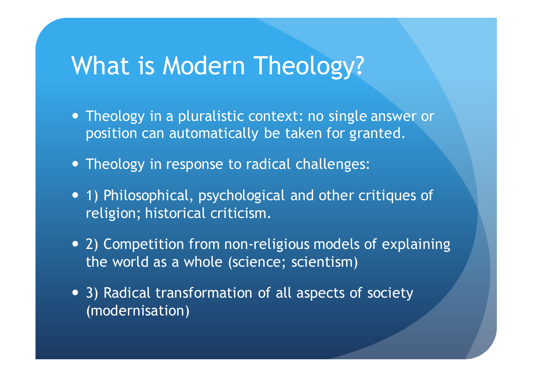## What is Modern Theology?

- Theology in a pluralistic context: no single answer or position can automatically be taken for granted.
- Theology in response to radical challenges:
- 1) Philosophical, psychological and other critiques of religion; historical criticism.
- 2) Competition from non-religious models of explaining the world as a whole (science; scientism)
- 3) Radical transformation of all aspects of society (modernisation)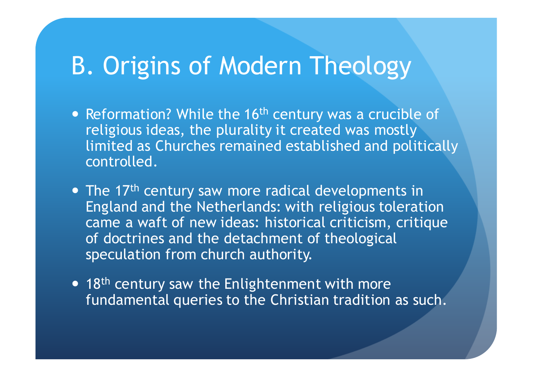### B. Origins of Modern Theology

- Reformation? While the 16<sup>th</sup> century was a crucible of religious ideas, the plurality it created was mostly limited as Churches remained established and politically controlled.
- The 17<sup>th</sup> century saw more radical developments in England and the Netherlands: with religious toleration came a waft of new ideas: historical criticism, critique of doctrines and the detachment of theological speculation from church authority.
- 18<sup>th</sup> century saw the Enlightenment with more fundamental queries to the Christian tradition as such.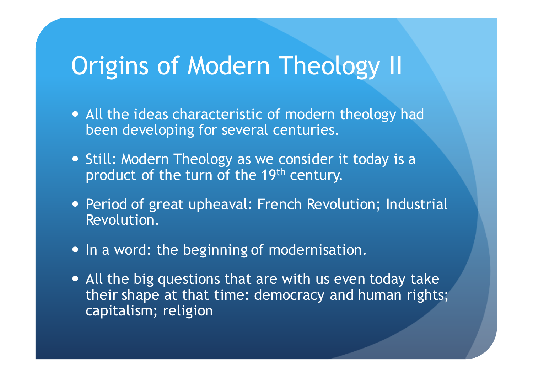### Origins of Modern Theology II

- All the ideas characteristic of modern theology had been developing for several centuries.
- Still: Modern Theology as we consider it today is a product of the turn of the 19<sup>th</sup> century.
- Period of great upheaval: French Revolution; Industrial Revolution.
- In a word: the beginning of modernisation.
- All the big questions that are with us even today take their shape at that time: democracy and human rights; capitalism; religion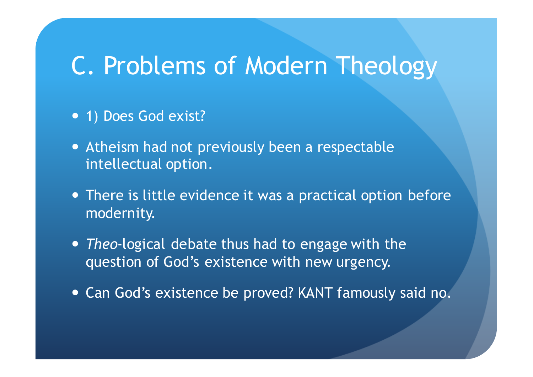#### C. Problems of Modern Theology

- 1) Does God exist?
- Atheism had not previously been a respectable intellectual option.
- There is little evidence it was a practical option before modernity.
- *Theo*-logical debate thus had to engage with the question of God's existence with new urgency.
- Can God's existence be proved? KANT famously said no.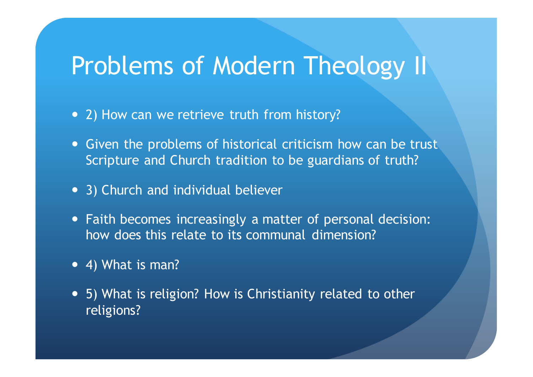#### Problems of Modern Theology II

- 2) How can we retrieve truth from history?
- Given the problems of historical criticism how can be trust Scripture and Church tradition to be guardians of truth?
- 3) Church and individual believer
- Faith becomes increasingly a matter of personal decision: how does this relate to its communal dimension?
- 4) What is man?
- 5) What is religion? How is Christianity related to other religions?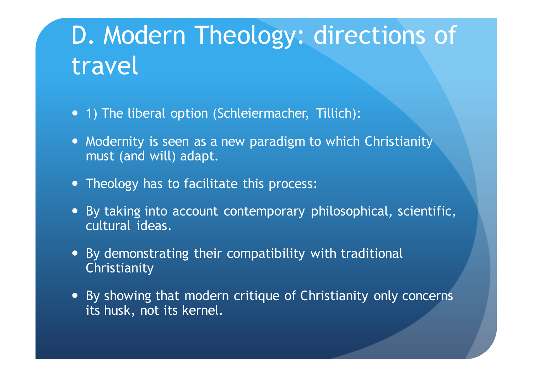# D. Modern Theology: directions of travel

- 1) The liberal option (Schleiermacher, Tillich):
- Modernity is seen as a new paradigm to which Christianity must (and will) adapt.
- Theology has to facilitate this process:
- By taking into account contemporary philosophical, scientific, cultural ideas.
- By demonstrating their compatibility with traditional Christianity
- By showing that modern critique of Christianity only concerns its husk, not its kernel.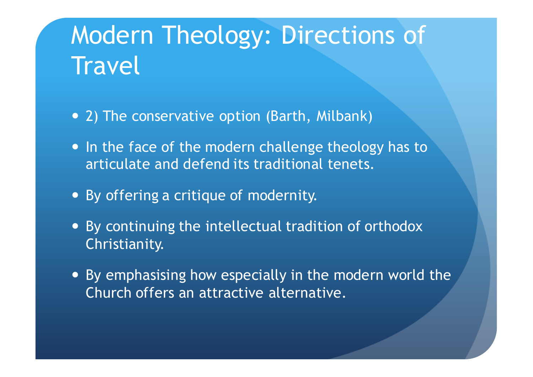# Modern Theology: Directions of **Travel**

- 2) The conservative option (Barth, Milbank)
- In the face of the modern challenge theology has to articulate and defend its traditional tenets.
- By offering a critique of modernity.
- By continuing the intellectual tradition of orthodox Christianity.
- By emphasising how especially in the modern world the Church offers an attractive alternative.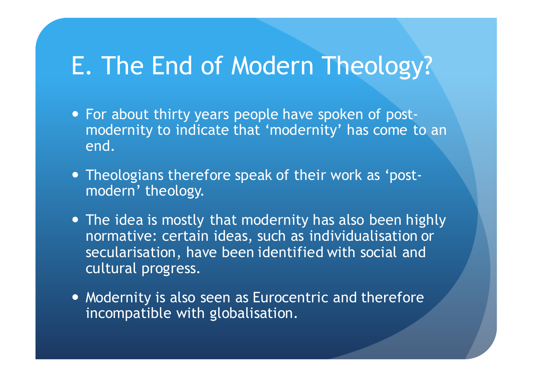#### E. The End of Modern Theology?

- For about thirty years people have spoken of postmodernity to indicate that 'modernity' has come to an end.
- Theologians therefore speak of their work as 'postmodern' theology.
- The idea is mostly that modernity has also been highly normative: certain ideas, such as individualisation or secularisation, have been identified with social and cultural progress.
- Modernity is also seen as Eurocentric and therefore incompatible with globalisation.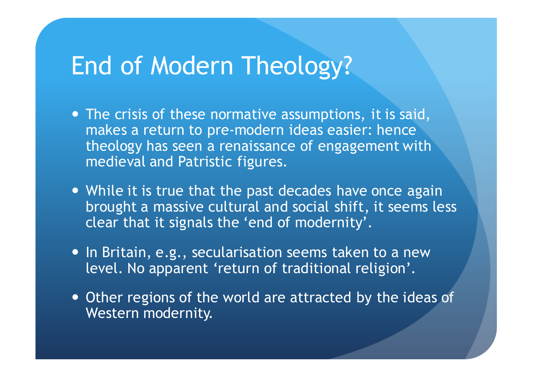## End of Modern Theology?

- The crisis of these normative assumptions, it is said, makes a return to pre-modern ideas easier: hence theology has seen a renaissance of engagement with medieval and Patristic figures.
- While it is true that the past decades have once again brought a massive cultural and social shift, it seems less clear that it signals the 'end of modernity'.
- In Britain, e.g., secularisation seems taken to a new level. No apparent 'return of traditional religion'.
- Other regions of the world are attracted by the ideas of Western modernity.